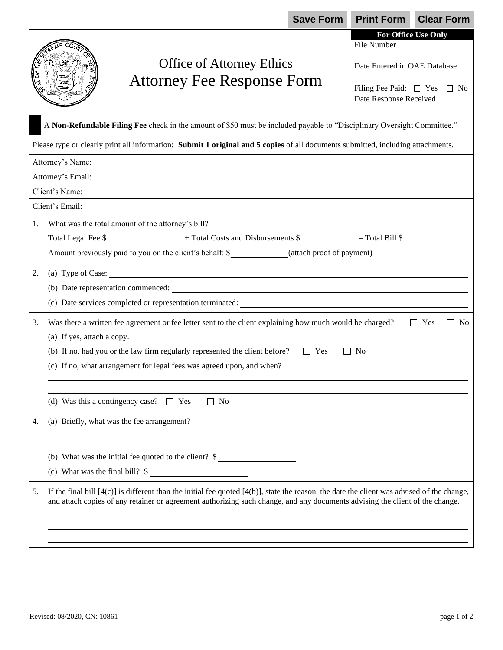|                                                                                                                                 |                                                                                                                                                                                                                                                                                 | <b>Save Form</b>           | <b>Print Form</b>                     | <b>Clear Form</b> |  |
|---------------------------------------------------------------------------------------------------------------------------------|---------------------------------------------------------------------------------------------------------------------------------------------------------------------------------------------------------------------------------------------------------------------------------|----------------------------|---------------------------------------|-------------------|--|
|                                                                                                                                 |                                                                                                                                                                                                                                                                                 |                            | For Office Use Only                   |                   |  |
|                                                                                                                                 |                                                                                                                                                                                                                                                                                 |                            | File Number                           |                   |  |
|                                                                                                                                 | <b>Office of Attorney Ethics</b>                                                                                                                                                                                                                                                |                            | Date Entered in OAE Database          |                   |  |
| <b>Attorney Fee Response Form</b>                                                                                               |                                                                                                                                                                                                                                                                                 |                            | Filing Fee Paid: $\Box$ Yes $\Box$ No |                   |  |
|                                                                                                                                 |                                                                                                                                                                                                                                                                                 |                            | Date Response Received                |                   |  |
|                                                                                                                                 |                                                                                                                                                                                                                                                                                 |                            |                                       |                   |  |
| A Non-Refundable Filing Fee check in the amount of \$50 must be included payable to "Disciplinary Oversight Committee."         |                                                                                                                                                                                                                                                                                 |                            |                                       |                   |  |
| Please type or clearly print all information: Submit 1 original and 5 copies of all documents submitted, including attachments. |                                                                                                                                                                                                                                                                                 |                            |                                       |                   |  |
| Attorney's Name:                                                                                                                |                                                                                                                                                                                                                                                                                 |                            |                                       |                   |  |
| Attorney's Email:                                                                                                               |                                                                                                                                                                                                                                                                                 |                            |                                       |                   |  |
| Client's Name:                                                                                                                  |                                                                                                                                                                                                                                                                                 |                            |                                       |                   |  |
| Client's Email:                                                                                                                 |                                                                                                                                                                                                                                                                                 |                            |                                       |                   |  |
| 1.                                                                                                                              | What was the total amount of the attorney's bill?                                                                                                                                                                                                                               |                            |                                       |                   |  |
|                                                                                                                                 |                                                                                                                                                                                                                                                                                 |                            |                                       |                   |  |
|                                                                                                                                 | Amount previously paid to you on the client's behalf: \$______________(attach proof of payment)                                                                                                                                                                                 |                            |                                       |                   |  |
| 2.                                                                                                                              | (a) Type of Case:                                                                                                                                                                                                                                                               |                            |                                       |                   |  |
|                                                                                                                                 |                                                                                                                                                                                                                                                                                 |                            |                                       |                   |  |
|                                                                                                                                 | (c) Date services completed or representation terminated: _______________________                                                                                                                                                                                               |                            |                                       |                   |  |
| 3.                                                                                                                              |                                                                                                                                                                                                                                                                                 |                            |                                       |                   |  |
|                                                                                                                                 | Was there a written fee agreement or fee letter sent to the client explaining how much would be charged?<br>$\Box$ Yes<br>N <sub>0</sub><br>(a) If yes, attach a copy.                                                                                                          |                            |                                       |                   |  |
|                                                                                                                                 | (b) If no, had you or the law firm regularly represented the client before?                                                                                                                                                                                                     | $\Box$ Yes<br>$\mathbf{L}$ | No                                    |                   |  |
|                                                                                                                                 | (c) If no, what arrangement for legal fees was agreed upon, and when?                                                                                                                                                                                                           |                            |                                       |                   |  |
|                                                                                                                                 |                                                                                                                                                                                                                                                                                 |                            |                                       |                   |  |
|                                                                                                                                 |                                                                                                                                                                                                                                                                                 |                            |                                       |                   |  |
|                                                                                                                                 | (d) Was this a contingency case? $\Box$ Yes<br>$\Box$ No                                                                                                                                                                                                                        |                            |                                       |                   |  |
| 4.                                                                                                                              | (a) Briefly, what was the fee arrangement?                                                                                                                                                                                                                                      |                            |                                       |                   |  |
|                                                                                                                                 |                                                                                                                                                                                                                                                                                 |                            |                                       |                   |  |
|                                                                                                                                 | (b) What was the initial fee quoted to the client? \$                                                                                                                                                                                                                           |                            |                                       |                   |  |
|                                                                                                                                 | (c) What was the final bill? $\frac{1}{2}$                                                                                                                                                                                                                                      |                            |                                       |                   |  |
| 5.                                                                                                                              | If the final bill $[4(c)]$ is different than the initial fee quoted $[4(b)]$ , state the reason, the date the client was advised of the change,<br>and attach copies of any retainer or agreement authorizing such change, and any documents advising the client of the change. |                            |                                       |                   |  |
|                                                                                                                                 |                                                                                                                                                                                                                                                                                 |                            |                                       |                   |  |
|                                                                                                                                 |                                                                                                                                                                                                                                                                                 |                            |                                       |                   |  |
|                                                                                                                                 |                                                                                                                                                                                                                                                                                 |                            |                                       |                   |  |